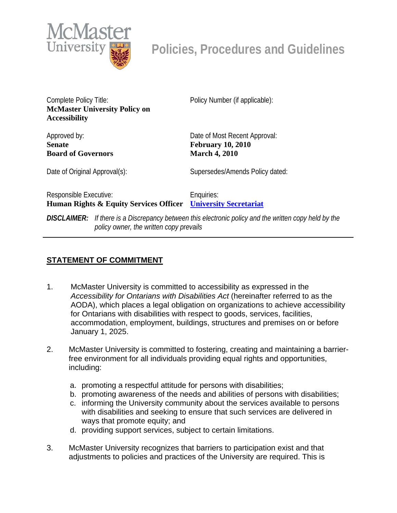

**Policies, Procedures and Guidelines** 

Complete Policy Title: **McMaster University Policy on Accessibility** 

Approved by: **Senate Board of Governors**  Policy Number (if applicable):

Date of Most Recent Approval: **February 10, 2010 March 4, 2010** 

Date of Original Approval(s): Supersedes/Amends Policy dated:

Responsible Executive: **Human Rights & Equity Services Officer [University Secretariat](mailto:policy@mcmaster.ca?subject=%20Inquiry)** Enquiries:

*DISCLAIMER: If there is a Discrepancy between this electronic policy and the written copy held by the policy owner, the written copy prevails*

## **STATEMENT OF COMMITMENT**

- 1. McMaster University is committed to accessibility as expressed in the *Accessibility for Ontarians with Disabilities Act* (hereinafter referred to as the AODA), which places a legal obligation on organizations to achieve accessibility for Ontarians with disabilities with respect to goods, services, facilities, accommodation, employment, buildings, structures and premises on or before January 1, 2025.
- 2. McMaster University is committed to fostering, creating and maintaining a barrierfree environment for all individuals providing equal rights and opportunities, including:
	- a. promoting a respectful attitude for persons with disabilities;
	- b. promoting awareness of the needs and abilities of persons with disabilities;
	- c. informing the University community about the services available to persons with disabilities and seeking to ensure that such services are delivered in ways that promote equity; and
	- d. providing support services, subject to certain limitations.
- 3. McMaster University recognizes that barriers to participation exist and that adjustments to policies and practices of the University are required. This is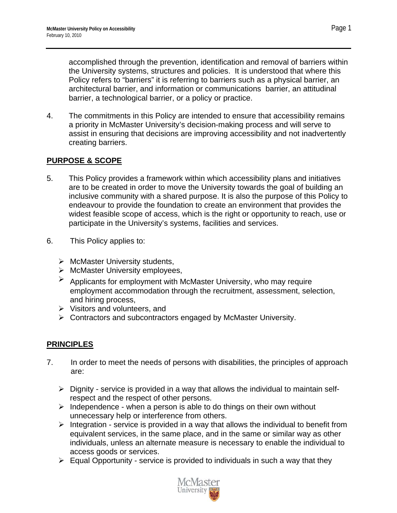accomplished through the prevention, identification and removal of barriers within the University systems, structures and policies. It is understood that where this Policy refers to "barriers" it is referring to barriers such as a physical barrier, an architectural barrier, and information or communications barrier, an attitudinal barrier, a technological barrier, or a policy or practice.

4. The commitments in this Policy are intended to ensure that accessibility remains a priority in McMaster University's decision-making process and will serve to assist in ensuring that decisions are improving accessibility and not inadvertently creating barriers.

## **PURPOSE & SCOPE**

- 5. This Policy provides a framework within which accessibility plans and initiatives are to be created in order to move the University towards the goal of building an inclusive community with a shared purpose. It is also the purpose of this Policy to endeavour to provide the foundation to create an environment that provides the widest feasible scope of access, which is the right or opportunity to reach, use or participate in the University's systems, facilities and services.
- 6. This Policy applies to:
	- $\triangleright$  McMaster University students,
	- $\triangleright$  McMaster University employees,
	- ¾ Applicants for employment with McMaster University, who may require employment accommodation through the recruitment, assessment, selection, and hiring process,
	- $\triangleright$  Visitors and volunteers, and
	- ¾ Contractors and subcontractors engaged by McMaster University.

# **PRINCIPLES**

- 7. In order to meet the needs of persons with disabilities, the principles of approach are:
	- $\triangleright$  Dignity service is provided in a way that allows the individual to maintain selfrespect and the respect of other persons.
	- $\triangleright$  Independence when a person is able to do things on their own without unnecessary help or interference from others.
	- $\triangleright$  Integration service is provided in a way that allows the individual to benefit from equivalent services, in the same place, and in the same or similar way as other individuals, unless an alternate measure is necessary to enable the individual to access goods or services.
	- $\triangleright$  Equal Opportunity service is provided to individuals in such a way that they

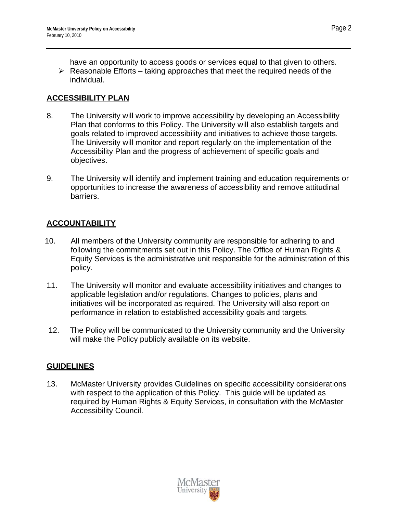have an opportunity to access goods or services equal to that given to others.

 $\triangleright$  Reasonable Efforts – taking approaches that meet the required needs of the individual.

# **ACCESSIBILITY PLAN**

- 8. The University will work to improve accessibility by developing an Accessibility Plan that conforms to this Policy. The University will also establish targets and goals related to improved accessibility and initiatives to achieve those targets. The University will monitor and report regularly on the implementation of the Accessibility Plan and the progress of achievement of specific goals and objectives.
- 9. The University will identify and implement training and education requirements or opportunities to increase the awareness of accessibility and remove attitudinal barriers.

# **ACCOUNTABILITY**

- 10. All members of the University community are responsible for adhering to and following the commitments set out in this Policy. The Office of Human Rights & Equity Services is the administrative unit responsible for the administration of this policy.
- 11. The University will monitor and evaluate accessibility initiatives and changes to applicable legislation and/or regulations. Changes to policies, plans and initiatives will be incorporated as required. The University will also report on performance in relation to established accessibility goals and targets.
- 12. The Policy will be communicated to the University community and the University will make the Policy publicly available on its website.

# **GUIDELINES**

13. McMaster University provides Guidelines on specific accessibility considerations with respect to the application of this Policy. This guide will be updated as required by Human Rights & Equity Services, in consultation with the McMaster Accessibility Council.

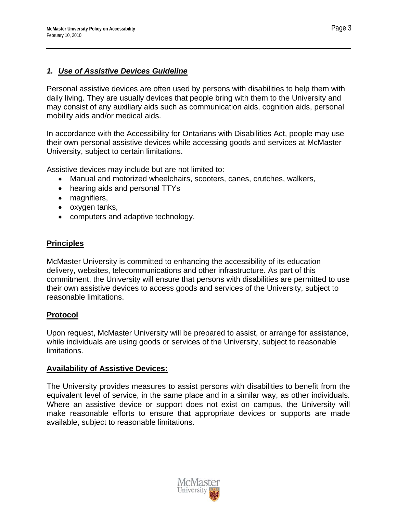#### *1. Use of Assistive Devices Guideline*

Personal assistive devices are often used by persons with disabilities to help them with daily living. They are usually devices that people bring with them to the University and may consist of any auxiliary aids such as communication aids, cognition aids, personal mobility aids and/or medical aids.

In accordance with the Accessibility for Ontarians with Disabilities Act, people may use their own personal assistive devices while accessing goods and services at McMaster University, subject to certain limitations.

Assistive devices may include but are not limited to:

- Manual and motorized wheelchairs, scooters, canes, crutches, walkers,
- hearing aids and personal TTYs
- magnifiers,
- oxygen tanks,
- computers and adaptive technology.

#### **Principles**

McMaster University is committed to enhancing the accessibility of its education delivery, websites, telecommunications and other infrastructure. As part of this commitment, the University will ensure that persons with disabilities are permitted to use their own assistive devices to access goods and services of the University, subject to reasonable limitations.

## **Protocol**

Upon request, McMaster University will be prepared to assist, or arrange for assistance, while individuals are using goods or services of the University, subject to reasonable limitations.

#### **Availability of Assistive Devices:**

The University provides measures to assist persons with disabilities to benefit from the equivalent level of service, in the same place and in a similar way, as other individuals. Where an assistive device or support does not exist on campus, the University will make reasonable efforts to ensure that appropriate devices or supports are made available, subject to reasonable limitations.

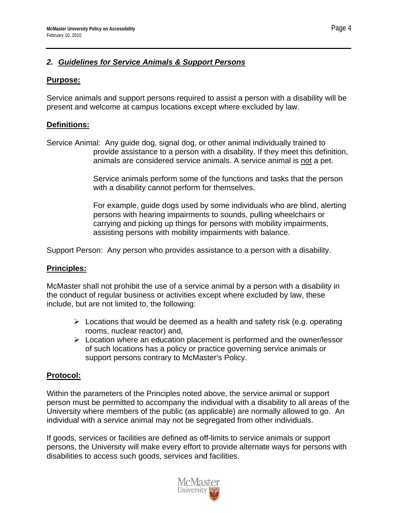## *2. Guidelines for Service Animals & Support Persons*

## **Purpose:**

Service animals and support persons required to assist a person with a disability will be present and welcome at campus locations except where excluded by law.

## **Definitions:**

Service Animal: Any guide dog, signal dog, or other animal individually trained to provide assistance to a person with a disability. If they meet this definition, animals are considered service animals. A service animal is not a pet.

> Service animals perform some of the functions and tasks that the person with a disability cannot perform for themselves.

For example, guide dogs used by some individuals who are blind, alerting persons with hearing impairments to sounds, pulling wheelchairs or carrying and picking up things for persons with mobility impairments, assisting persons with mobility impairments with balance.

Support Person: Any person who provides assistance to a person with a disability.

## **Principles:**

McMaster shall not prohibit the use of a service animal by a person with a disability in the conduct of regular business or activities except where excluded by law, these include, but are not limited to, the following:

- $\triangleright$  Locations that would be deemed as a health and safety risk (e.g. operating rooms, nuclear reactor) and,
- $\triangleright$  Location where an education placement is performed and the owner/lessor of such locations has a policy or practice governing service animals or support persons contrary to McMaster's Policy.

# **Protocol:**

Within the parameters of the Principles noted above, the service animal or support person must be permitted to accompany the individual with a disability to all areas of the University where members of the public (as applicable) are normally allowed to go. An individual with a service animal may not be segregated from other individuals.

If goods, services or facilities are defined as off-limits to service animals or support persons, the University will make every effort to provide alternate ways for persons with disabilities to access such goods, services and facilities.



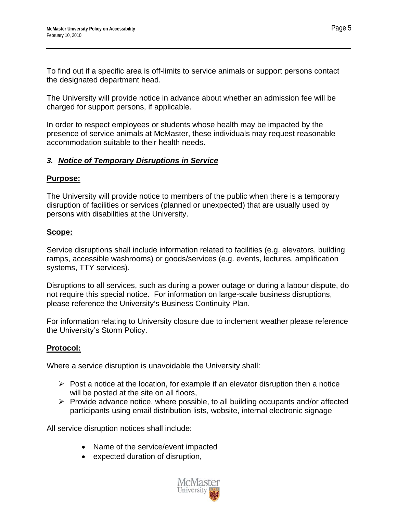To find out if a specific area is off-limits to service animals or support persons contact the designated department head.

The University will provide notice in advance about whether an admission fee will be charged for support persons, if applicable.

In order to respect employees or students whose health may be impacted by the presence of service animals at McMaster, these individuals may request reasonable accommodation suitable to their health needs.

## *3. Notice of Temporary Disruptions in Service*

#### **Purpose:**

The University will provide notice to members of the public when there is a temporary disruption of facilities or services (planned or unexpected) that are usually used by persons with disabilities at the University.

## **Scope:**

Service disruptions shall include information related to facilities (e.g. elevators, building ramps, accessible washrooms) or goods/services (e.g. events, lectures, amplification systems, TTY services).

Disruptions to all services, such as during a power outage or during a labour dispute, do not require this special notice. For information on large-scale business disruptions, please reference the University's Business Continuity Plan.

For information relating to University closure due to inclement weather please reference the University's Storm Policy.

## **Protocol:**

Where a service disruption is unavoidable the University shall:

- $\triangleright$  Post a notice at the location, for example if an elevator disruption then a notice will be posted at the site on all floors.
- $\triangleright$  Provide advance notice, where possible, to all building occupants and/or affected participants using email distribution lists, website, internal electronic signage

All service disruption notices shall include:

- Name of the service/event impacted
- expected duration of disruption,



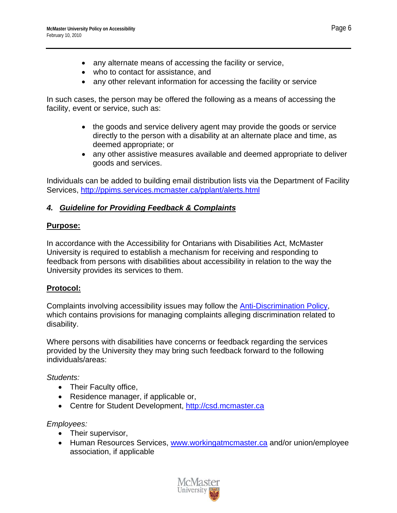- any alternate means of accessing the facility or service,
- who to contact for assistance, and
- any other relevant information for accessing the facility or service

In such cases, the person may be offered the following as a means of accessing the facility, event or service, such as:

- the goods and service delivery agent may provide the goods or service directly to the person with a disability at an alternate place and time, as deemed appropriate; or
- any other assistive measures available and deemed appropriate to deliver goods and services.

Individuals can be added to building email distribution lists via the Department of Facility Services, <http://ppims.services.mcmaster.ca/pplant/alerts.html>

# *4. Guideline for Providing Feedback & Complaints*

#### **Purpose:**

In accordance with the Accessibility for Ontarians with Disabilities Act, McMaster University is required to establish a mechanism for receiving and responding to feedback from persons with disabilities about accessibility in relation to the way the University provides its services to them.

## **Protocol:**

Complaints involving accessibility issues may follow the [Anti-Discrimination Policy](http://www.mcmaster.ca/policy/General/HR/Anti-Discrimination%20policy.pdf), which contains provisions for managing complaints alleging discrimination related to disability.

Where persons with disabilities have concerns or feedback regarding the services provided by the University they may bring such feedback forward to the following individuals/areas:

## *Students:*

- Their Faculty office,
- Residence manager, if applicable or,
- Centre for Student Development, [http://csd.mcmaster.ca](http://csd.mcmaster.ca/)

## *Employees:*

- Their supervisor,
- Human Resources Services, [www.workingatmcmaster.ca](http://www.workingatmcmaster.ca/) and/or union/employee association, if applicable